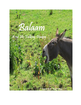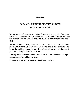# **Overview:**

# **BALAAM ACKNOWLEDGED THAT YAHWEH WAS A POWERFUL GOD.**

Balaam was one of those noteworthy Old Testament characters who, though not one of God's chosen people, was willing to acknowledge that Yahweh (the Lord) was indeed a powerful God. But he did not believe in the Lord as the only true God.

His story exposes the deception of maintaining an outward facade of spirituality over a corrupt inward life. Balaam was a man ready to obey God's command as long as he could profit from doing so. This mixture of motives— obedience and profit—eventually led to Balaam's death.

Although he realized the awesome power of Israel's God, his heart was occupied with the wealth he could gain in Moab.

There he returned to die when the armies of Israel invaded.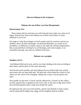# **Discover Balaam in the Scriptures**

### **Balaam, the son of Beor was from Mesopotamia**

### **[Deuteronomy 23:4](http://www.crossbooks.com/verse.asp?ref=Dt+23%3A4)**

 These nations did not welcome you with food and water when you came out of Egypt. Instead, they tried to hire Balaam son of Beor from Pethor in Aramnaharaim to curse you.

We ought to value the privileges of God's people, both for ourselves and for our children, above all other advantages. No personal blemishes, no crimes of our forefathers, no difference of nation, shuts us out under the Christian dispensation. But an unsound heart will deprive us of blessings; and a bad example, or an unsuitable marriage, may shut our children from them.

# **Balaam was a prophet**

#### **[Numbers](http://www.crossbooks.com/verse.asp?ref=Nu+24%3A2-9) 24:2-9**

And Balaam lifted up his eyes, and he saw Israel abiding in his tents according to their tribes; and the spirit of God came upon him.

And he took up his parable, and said, Balaam the son of Beor hath said, and the man whose eyes are open hath said: He hath said, which heard the words of God, which saw the vision of the Almighty, falling into a trance, but having his eyes open:

How goodly are thy tents, O Jacob, and thy tabernacles, O Israel! As the valleys are they spread forth, as gardens by the river's side, as the trees of lign aloes which the Lord hath planted, and as cedar trees beside the waters.

He shall pour the water out of his buckets, and his seed shall be in many waters, and his king shall be higher than Agag, and his kingdom shall be exalted.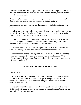God brought him forth out of Egypt; he hath as it were the strength of a unicorn: he shall eat up the nations his enemies, and shall break their bones, and pierce them through with his arrows.

He couched, he lay down as a lion, and as a great lion: who shall stir him up? Blessed is he that blesses thee, and cursed is he that curses thee.

Balaam spoke not his own sense, but the language of the Spirit that came upon him.

Many have their eyes open who have not their hearts open; are enlightened, but not sanctified. That knowledge which puffs men up with pride, will but serve to light them to hell, whither many go with their eyes open.

The blessing is nearly the same as those given before. He admires in Israel, their beauty. The righteous, doubtless, is more excellent than his neighbour. Their fruitfulness and increase. Their honour and advancement.

Their power and victory. He looks back upon what had been done for them. Their power and victory. He looks back upon what had been done for them.

Their courage and security. The righteous are bold as a lion, not when assaulting others, but when at rest, because God maketh them to dwell in safety. Their influence upon their neighbours. God takes what is done to them, whether good or evil, as done to himself.

# **Balaam loved the wages of the unrighteous.**

# **2 [Peter](http://www.crossbooks.com/verse.asp?ref=2Pe+2%3A15) 2:15-16**

 Which have forsaken the right way, and are gone astray, following the way of Balaam the son of Bosor, who loved the wages of unrighteousness; but was rebuked for his iniquity: the dumb ass speaking with man's voice forbad the madness of the prophet.

Impure seducers and their abandoned followers, give themselves up to their own fleshly minds. Refusing to bring every thought to the obedience of Christ, they act against God's righteous precepts.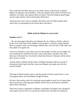They walk after the flesh, they go on in sinful courses, and increase to greater degrees of impurity and wickedness. They also despise those whom God has set in authority over them, and requires them to honour. Outward temporal good things are the wages sinners expect and promise themselves.

And none have more cause to tremble, than those who are bold to gratify their sinful lusts, by presuming on the Divine grace and mercy.

# **Balak sends for Balaam to curse Israel**

### **[Numbers](http://www.crossbooks.com/verse.asp?ref=Nu+22%3A5-7) 22:5-7**

 He sent messengers therefore unto Balaam the son of Beor to Pethor, which is by the river of the land of the children of his people, to call him, saying, Behold, there is a people come out from Egypt: behold, they cover the face of the earth, and they abide over against me:

Come now therefore, I pray thee, curse me this people; for they are too mighty for me: peradventure I shall prevail, that we may smite them, and that I may drive them out of the land: for I wot that he whom thou blesses is blessed, and he whom thou curses is cursed.

And the elders of Moab and the elders of Midian departed with the rewards of divination in their hand; and they came unto Balaam, and spake unto him the words of Balak.

The king of Moab formed a plan to get the people of Israel cursed; that is, to set God against them, who had hitherto fought for them.

He had a false notion, that if he could get some prophet to pray for evil upon them, and to pronounce a blessing upon himself and his forces, that then he should be able to deal with them.

None had so great a reputation as Balaam; and Balak will employ him, though he send a great way for him. It is not known whether the Lord had ever spoken to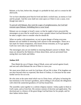Balaam, or by him, before this; though it is probable he had, and it is certain he did afterwards.

Yet we have abundant proof that he lived and died a wicked man, an enemy to God and his people. And the curse shall not come upon us if there is not a cause, even though men utter it.

To prevail with Balaam, they took the wages of unrighteousness, but God laid restraint upon Balaam, forbidding him to curse Israel.

Balaam was no stranger to Israel's cause; so that he ought to have answered the messengers at once that he would never curse a people whom God had blessed; but he takes a night's time to consider what he should do.

When we parley with temptations, we are in great danger of being overcome. Balaam was not faithful in returning God's answer to the messengers. Those are a fair mark for Satan's temptation, who lessen Divine restraints; as if to go against God's law were only to go without his leave.

The messengers also are not faithful in returning Balaam's answer to Balak. Thus many are abused by the flatteries of those about them, and are prevented from seeing their own faults and follies.

# **[Joshua](http://www.crossbooks.com/verse.asp?ref=Jos+24%3A9) 24:9**

 Then Balak the son of Zippor, king of Moab, arose and warred against Israel, and sent and called Balaam the son of Beor to curse you:

We must never think our work for God done, till our life is done. If he lengthen out our days beyond what we expected, like those of Joshua, it is because he has some further service for us to do.

He who aims at the same mind which was in Christ Jesus, will glory in bearing the last testimony to his Saviour's goodness, and in telling to all around, the obligations with which the unmerited goodness of God has bound him.

The assembly came together in a solemn religious manner. Joshua spake to them in God's name, and as from him. His sermon consists of doctrine and application. The doctrinal part is a history of the great things God had done for his people, and for their fathers before them.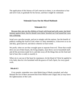The application of this history of God's mercies to them, is an exhortation to fear and serve God, in gratitude for his favour, and that it might be continued.

# **Nehemiah Turns Out the Mixed Multitude**

# **[Nehemiah](http://www.crossbooks.com/verse.asp?ref=Ne+13%3A2) 13:2**

 Because they met not the children of Israel with bread and with water, but hired Balaam against them, that he should curse them: howbeit our God turned the curse into a blessing.

Israel was a peculiar people, and not to mingle with the nations. See the benefit of publicly reading the word of God; when it is duly attended to, it discovers to us sin and duty, good and evil, and shows wherein we have erred.

We profit, when we are thus wrought upon to separate from evil. Those that would drive sin out of their hearts, the living temples, must throw out its household stuff, and all the provision made for it; and take away all the things that are the food and fuel of lust; this is really to mortify it.

When sin is cast out of the heart by repentance, let the blood of Christ be applied to it by faith, then let it be furnished with the graces of God's Spirit, for every good work.

# **Micah 6:5**

 O my people, remember now what Balak king of Moab consulted, and what Balaam the son of Beor answered him from Shittim unto Gilgal; that ye may know the righteousness of the Lord.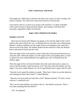# **God's Controversy with Israel**

The people are called upon to declare why they were weary of God's worship, and prone to idolatry. Sin causes the controversy between God and man.

God reasons with us, to teach us to reason with ourselves. Let them remember God's many favours to them and their fathers, and compare with them their unworthy, ungrateful conduct toward him.

### **Angry when rebuked by his donkey**

#### **[Numbers](http://www.crossbooks.com/verse.asp?ref=Nu+22%3A22-35) 22:22-35**

 But God was furious that Balaam was going, so he sent the angel of the Lord to stand in the road to block his way. As Balaam and two servants were riding along, Balaam's donkey suddenly saw the angel of the Lord standing in the road with a drawn sword in his hand. The donkey bolted off the road into a field, but Balaam beat it and turned it back onto the road.

Then the angel of the Lord stood at a place where the road narrowed between two vineyard walls. When the donkey saw the angel of the Lord standing there, it tried to squeeze by and crushed Balaam's foot against the wall. So Balaam beat the donkey again.

Then the angel of the Lord moved farther down the road and stood in a place so narrow that the donkey could not get by at all. This time when the donkey saw the angel, it lay down under Balaam. In a fit of rage Balaam beat it again with his staff.

Then the Lord caused the donkey to speak. "What have I done to you that deserves your beating me these three times?" it asked Balaam.

"Because you have made me look like a fool!" Balaam shouted. "If I had a sword with me, I would kill you!"

"But I am the same donkey you always ride on," the donkey answered. "Have I ever done anything like this before?"

"No," he admitted.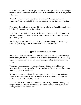Then the Lord opened Balaam's eyes, and he saw the angel of the Lord standing in the roadway with a drawn sword in his hand. Balaam fell face down on the ground before him.

"Why did you beat your donkey those three times?" the angel of the Lord demanded. "I have come to block your way because you are stubbornly resisting me.

Three times the donkey saw me and shied away; otherwise, I would certainly have killed you by now and spared the donkey."

Then Balaam confessed to the angel of the Lord, "I have sinned. I did not realize you were standing in the road to block my way. I will go back home if you are against my going."

But the angel of the Lord told him, "Go with these men, but you may say only what I tell you to say." So Balaam went on with Balak's officials.

# **The Opposition to Balaam by the Way**

We must not think, that because God does not always by his providence restrain men from sin, therefore he approves of it, or that it is not hateful to him. The holy angels oppose sin, and perhaps are employed in preventing it more than we are aware.

This angel was an adversary to Balaam, because Balaam counted him his adversary; those are really our best friends, and we ought so to reckon them, who stop our progress in sinful ways.

Balaam has notice of God's displeasure by the donkey. It is common for those whose hearts are fully set in them to do evil, to push on violently, through the difficulties Providence lays in their way.

The Lord opened the mouth of the donkey. This was a great miracle wrought by the power of God. He who made man speak, could, when he pleased, make the donkey to speak with man's voice.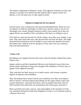The donkey complained of Balaam's cruelty. The righteous God does not allow the meanest or weakest to be abused; but they shall be able to speak in their own defence, or he will some way or other speak for them.

# **Balaam at length has his eyes opened.**

God has many ways to bring down the hard and unhumbled heart. When our eyes are opened, we shall see the danger of sinful ways, and how much it was for our advantage to be crossed. Balaam seemed to relent; I have sinned; but it does not appear that he was sensible of this wickedness of his heart, or willing to own it.

If he finds he cannot go forward, he will be content, since there is no remedy, to go back. Thus many leave their sins, only because their sins have left them. The angel declared that he should not only be unable to curse Israel, but should be forced to bless them: this would be more for the glory of God, and to his own confusion, than if he had turned back.

# **2 Peter 2:16**

But Balaam was stopped from his mad course when his donkey rebuked him with a human voice.

Impure seducers and their abandoned followers, give themselves up to their own fleshly minds. Refusing to bring every thought to the obedience of Christ, they act against God's righteous precepts.

They walk after the flesh, they go on in sinful courses, and increase to greater degrees of impurity and wickedness.

They also despise those whom God has set in authority over them, and requires them to honour. Outward temporal good things are the wages sinners expect and promise themselves. And none have more cause to tremble, than those who are bold to gratify their sinful lusts, by presuming on the Divine grace and mercy.

Many such there have been, and are, who speak lightly of the restraints of God's law, and deem themselves freed from obligations to obey it. Let Christians stand at a distance from such.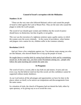### **Counsel of Israel's corruption with the Midianites**

#### **[Numbers](http://www.crossbooks.com/verse.asp?ref=Nu+31%3A16) 31:16**

 "These are the very ones who followed Balaam's advice and caused the people of Israel to rebel against the Lord at Mount Peor. They are the ones who caused the plague to strike the Lord's people.

The sword of war should spare women and children; but the sword of justice should know no distinction, but that of guilty or not guilty.

This war was the execution of a righteous sentence upon a guilty nation, in which the women were the worst criminals. . In the course of providence, when famine and plagues visit a nation for sin, children suffer in the common calamity.

#### **[Revelation](http://www.crossbooks.com/verse.asp?ref=Rev+2%3A14) 2:14-15**

 And yet I have a few complaints against you. You tolerate some among you who are like Balaam, who showed Balak how to trip up the people of Israel.

He taught them to worship idols by eating food offered to idols and by committing sexual sin. In the same way, you have some Nicolaitans among you—people who follow the same teaching and commit the same sins.

# **At Pergamos**

The word of God is a sword, able to slay both sin and sinners. It turns and cuts every way; but the believer need not fear this sword; yet this confidence cannot be supported without steady obedience.

As our Lord notices all the advantages and opportunities we have for duty in the places where we dwell, so he notices our temptations and discouragements from the same causes.

In a situation of trials, the church of Pergamos had not denied the faith, either by open apostasy, or by giving way so as to avoid the cross.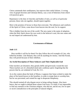Christ commends their stedfastness, but reproves their sinful failures. A wrong view of gospel doctrine and Christian liberty, was a root of bitterness from which evil practices grew.

Repentance is the duty of churches and bodies of men, as well as of particular persons; those who sin together, should repent together.

Here is the promise of favour to those that overcome. The influences and comforts of the Spirit of Christ, come down from heaven into the soul, for its support.

This is hidden from the rest of the world. The new name is the name of adoption; when the Holy Spirit shows his own work in the believer's soul, this new name and its real import are understood by him.

# **Covetousness of Balaam**

# **[Jude 1:11](http://www.crossbooks.com/verse.asp?ref=Jude+1%3A11)**

 How terrible it will be for them! For they follow the evil example of Cain, who killed his brother. Like Balaam, they will do anything for money. And like Korah, they will perish because of their rebellion.

# **An Awful Description of These Seducers and Their Deplorable End**

False teachers are dreamers; they greatly defile and grievously wound the soul. These teachers are of a disturbed mind and a seditious spirit; forgetting that the powers that be, are ordained of God, [Ro 13:1.](http://www.crossbooks.com/verse.asp?ref=Ro+13%3A1)

As to the contest about the body of Moses, it appears that Satan wished to make the place of his burial known to the Israelites, in order to tempt them to worship him, but he was prevented, and vented his rage in desperate blasphemy.

This should remind all who dispute never to bring railing charges. Also learn hence, that we ought to defend those whom God owns. It is hard, if not impossible, to find any enemies to the Christian religion, who did not, and do not, live in open or secret contradiction to the principles of natural religion.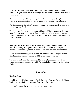False teachers are to expect the worst punishments in this world and in that to come. They glare like meteors, or falling stars, and then sink into the blackness of darkness forever.

We have no mention of the prophecy of Enoch in any other part or place of Scripture; yet one plain text of Scripture, proves any point we are to believe.

We find from this, that Christ's coming to judge was prophesied of, as early as the times before the flood.

The Lord cometh: what a glorious time will that be! Notice how often the word "ungodly" is repeated. Many now do not at all refer to the terms godly, or ungodly, unless it be to mock at even the words; but it is not so in the language taught us by the Holy Ghost.

Hard speeches of one another, especially if ill-grounded, will certainly come into account at the Day of Judgment. These evil men and seducers are angry at everything that happens, and never pleased with their own state and condition.

Their will and their fancy, are their only rule and law. Those who please their sinful appetites, are most prone to yield to ungovernable passions.

The men of God, from the beginning of the world, have declared the doom denounced on them. Such let us avoid. We are to follow men only as they follow Christ.

# **Death of Balaam**

#### **[Numbers](http://www.crossbooks.com/verse.asp?ref=Nu+31%3A8) 31:8**

 All five of the Midianite kings—Evi, Rekem, Zur, Hur, and Reba—died in the battle. They also killed Balaam son of Beor with the sword.

The Israelites slew the Kings of Midian. They slew Balaam.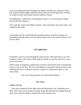God's overruling providence brought him thither, and their just vengeance found him. Had he himself rightly believed what he had said of the happy state of Israel, he would not have thus herded with the enemies of Israel.

The Midianites' wicked wiles were Balaam's projects: it was just that he should perish with them, [Hos 4:5.](http://www.crossbooks.com/verse.asp?ref=Hos+4%3A5)

They took the women and children captives. They burnt their cities and castles, and returned to the camp.

God promise that he would make the Israelites masters of all the countries yet unsubdued, through Joshua was old, and not able to do it; old, and not likely to live to see it done.

# **Life Application**

Eventually, each of us lives through the same process. Who and what we are will somehow come to the surface, destroying any masks we may have put on to cover up our real selves.

Efforts spent on keeping up appearances would be much better spent on finding the answer to sin in our lives. We can avoid Balaam's mistake by facing ourselves and realizing that God is willing to accept us, forgive us, and literally make us over from within.

Don't miss this great discovery that eluded Balaam.

# **Key Verse.**

# **2 Peter 2:15-16**

 They have wandered off the right road and followed the way of Balaam son of Beor, who loved to earn money by doing wrong. But Balaam was stopped from his mad course when his donkey rebuked him with a human voice.